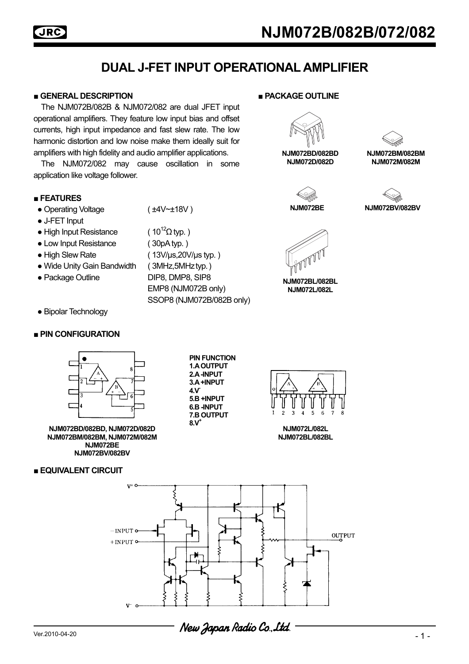# **JRC**

# **DUAL J-FET INPUT OPERATIONAL AMPLIFIER**

#### **■ GENERAL DESCRIPTION ■ PACKAGE OUTLINE**

 The NJM072B/082B & NJM072/082 are dual JFET input operational amplifiers. They feature low input bias and offset currents, high input impedance and fast slew rate. The low harmonic distortion and low noise make them ideally suit for amplifiers with high fidelity and audio amplifier applications.

 The NJM072/082 may cause oscillation in some application like voltage follower.

#### **■ FEATURES**

- Operating Voltage (±4V~±18V)
- J-FET Input
- High Input Resistance  $(10^{12} \Omega \text{ tvp.})$
- Low Input Resistance (30pA typ.)
- 
- Wide Unity Gain Bandwidth ( 3MHz, 5MHz typ.)
- 
- Bipolar Technology

#### **■ PIN CONFIGURATION**



**NJM072BD/082BD, NJM072D/082D NJM072BM/082BM, NJM072M/082M NJM072BE NJM072BV/082BV**

### **■ EQUIVALENT CIRCUIT**

- 
- High Slew Rate ( 13V/µs,20V/µs typ. ) ● Package Outline DIP8, DMP8, SIP8

 EMP8 (NJM072B only) SSOP8 (NJM072B/082B only)



**NJM072BD/082BD NJM072D/082D**



**NJM072BM/082BM NJM072M/082M**





**NJM072BE** 

**NJM072BL/082BL NJM072L/082L**

**PIN FUNCTION 1.A OUTPUT 2.A -INPUT 3.A +INPUT 4.V-5.B +INPUT 6.B -INPUT 7.B OUTPUT 8.V+**



**NJM072L/082L NJM072BL/082BL** 

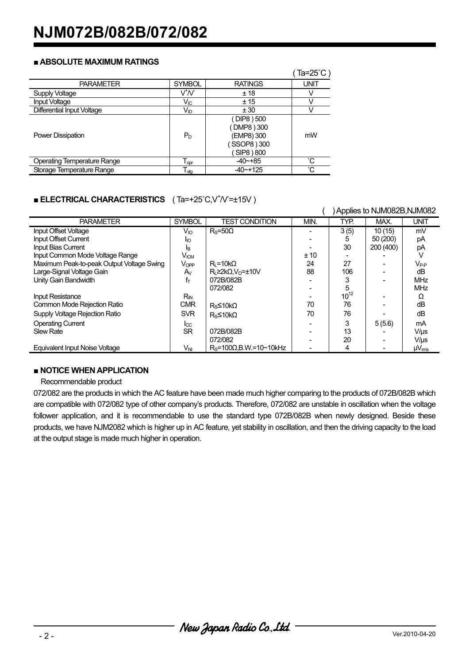#### **■ ABSOLUTE MAXIMUM RATINGS**

|                                    |                       |                          | Ta= $25^{\circ}$ C) |  |
|------------------------------------|-----------------------|--------------------------|---------------------|--|
| <b>PARAMETER</b>                   | <b>SYMBOL</b>         | <b>RATINGS</b>           | UNIT                |  |
| Supply Voltage                     | $\sqrt{N}$            | ±18                      |                     |  |
| <b>Input Voltage</b>               | $V_{IC}$              | ± 15                     |                     |  |
| <b>Differential Input Voltage</b>  | <b>V<sub>ID</sub></b> | ± 30                     |                     |  |
|                                    |                       | (DIP8) 500<br>DMP8 ) 300 |                     |  |
| Power Dissipation                  | $P_D$                 | (EMP8) 300               | mW                  |  |
|                                    |                       | SSOP8 ) 300              |                     |  |
|                                    |                       | SIP8 ) 800               |                     |  |
| <b>Operating Temperature Range</b> | $T_{\text{opr}}$      | $-40 - +85$              | $^{\circ}$ C        |  |
| Storage Temperature Range          | $T_{\text{stg}}$      | $-40$ $-+125$            | $^{\circ}$ C        |  |

## **BLECTRICAL CHARACTERISTICS** (Ta=+25°C,V<sup>+</sup>/V=±15V)

|                                           |                  |                                       | Applies to NJM082B, NJM082 |           |           |                   |
|-------------------------------------------|------------------|---------------------------------------|----------------------------|-----------|-----------|-------------------|
| <b>PARAMETER</b>                          | <b>SYMBOL</b>    | <b>TEST CONDITION</b>                 | MIN.                       | TYP.      | MAX.      | <b>UNIT</b>       |
| Input Offset Voltage                      | $V_{10}$         | $R_s = 50\Omega$                      |                            | 3(5)      | 10(15)    | mV                |
| Input Offset Current                      | Iю               |                                       |                            | 5         | 50 (200)  | pA                |
| Input Bias Current                        | IΒ               |                                       |                            | 30        | 200 (400) | pA                |
| Input Common Mode Voltage Range           | V <sub>ICM</sub> |                                       | ± 10                       |           |           |                   |
| Maximum Peak-to-peak Output Voltage Swing | $V_{OPP}$        | $R_i = 10k\Omega$                     | 24                         | 27        |           | $V_{P-P}$         |
| Large-Signal Voltage Gain                 | $A_V$            | $R_1 \geq 2k\Omega$ , $V_0 = \pm 10V$ | 88                         | 106       |           | dΒ                |
| Unity Gain Bandwidth                      | fт               | 072B/082B                             |                            |           |           | <b>MHz</b>        |
|                                           |                  | 072/082                               |                            | 5         |           | <b>MHz</b>        |
| <b>Input Resistance</b>                   | $R_{IN}$         |                                       |                            | $10^{12}$ |           | Ω                 |
| Common Mode Rejection Ratio               | <b>CMR</b>       | $R_s$ ≤10kΩ                           | 70                         | 76        |           | dB                |
| Supply Voltage Rejection Ratio            | <b>SVR</b>       | $Rs\leq10k\Omega$                     | 70                         | 76        |           | dΒ                |
| <b>Operating Current</b>                  | $_{\text{Lcc}}$  |                                       |                            | 3         | 5(5.6)    | mA                |
| <b>Slew Rate</b>                          | <b>SR</b>        | 072B/082B                             |                            | 13        |           | $V/\mu s$         |
|                                           |                  | 072/082                               |                            | 20        |           | $V/\mu s$         |
| <b>Equivalent Input Noise Voltage</b>     | VNI              | $RS=100\Omega$ , B.W.=10~10kHz        |                            | 4         |           | $\mu V_{\rm rms}$ |

#### **■ NOTICE WHEN APPLICATION**

Recommendable product

072/082 are the products in which the AC feature have been made much higher comparing to the products of 072B/082B which are compatible with 072/082 type of other company's products. Therefore, 072/082 are unstable in oscillation when the voltage follower application, and it is recommendable to use the standard type 072B/082B when newly designed. Beside these products, we have NJM2082 which is higher up in AC feature, yet stability in oscillation, and then the driving capacity to the load at the output stage is made much higher in operation.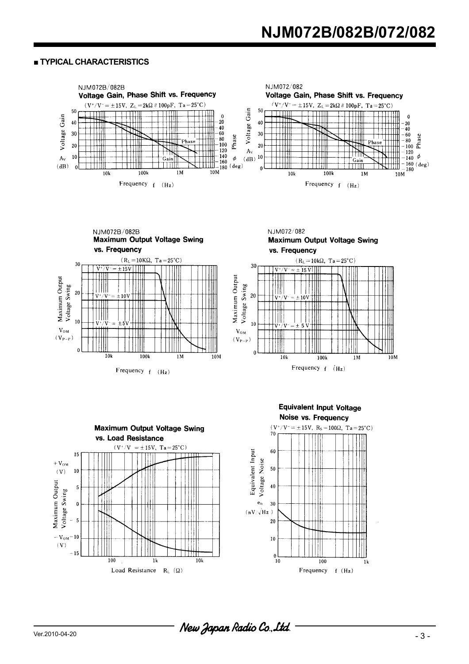#### **■ TYPICAL CHARACTERISTICS**





Frequency  $f'(Hz)$ 









- 3 - Ver.2010-04-20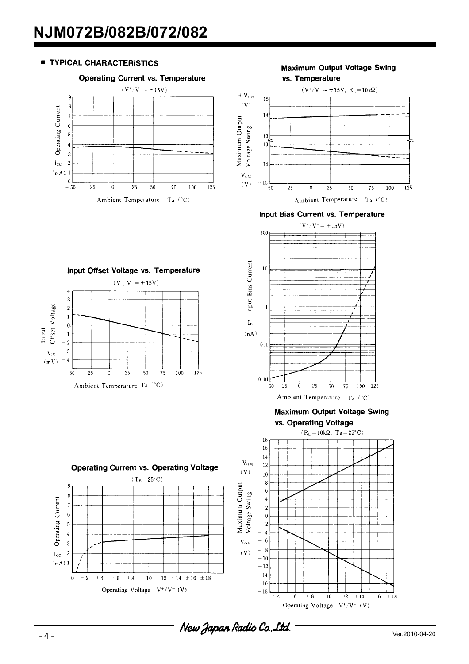#### **TYPICAL CHARACTERISTICS**



Input Offset Voltage vs. Temperature  $(V^*/V^- = \pm 15V)$ 

25

Ambient Temperature Ta (°C)

 $\Omega$ 

 $50$ 

 $\overline{4}$  $\overline{3}$ 

 $\overline{2}$ 

 $\overline{1}$ 

 $\mathbf{0}$ 

 $-50$ 

 $-25$ 

 $-1$  $-2$ 

Offset Voltage

 $V_{10}$  $-3$ 

 $(mV)$  $-4$ 

Input

**Maximum Output Voltage Swing** vs. Temperature



Input Bias Current vs. Temperature



**Maximum Output Voltage Swing** 



 $\overline{125}$ 

100

75

Operating Current

 $I_{CC}$